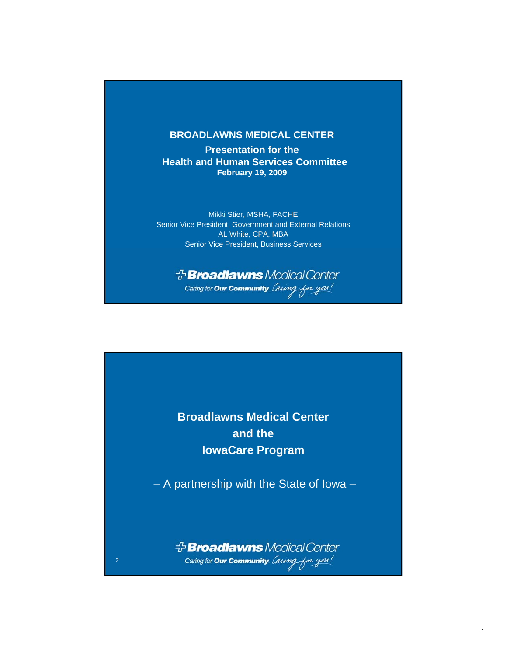## **BROADLAWNS MEDICAL CENTER**

**Presentation for the Health and Human Services Committee February 19, 2009**

Mikki Stier, MSHA, FACHE Senior Vice President, Government and External Relations AL White, CPA, MBA Senior Vice President, Business Services

**Broadlawns** Medical Center Caring for **Our Community**. *Caring* for you!

**Broadlawns Medical Center and the IowaCare Program**

– A partnership with the State of Iowa –

*<sup>+</sup>Broadlawns Medical Center* Caring for **Our Community**. *Laving* for you!

2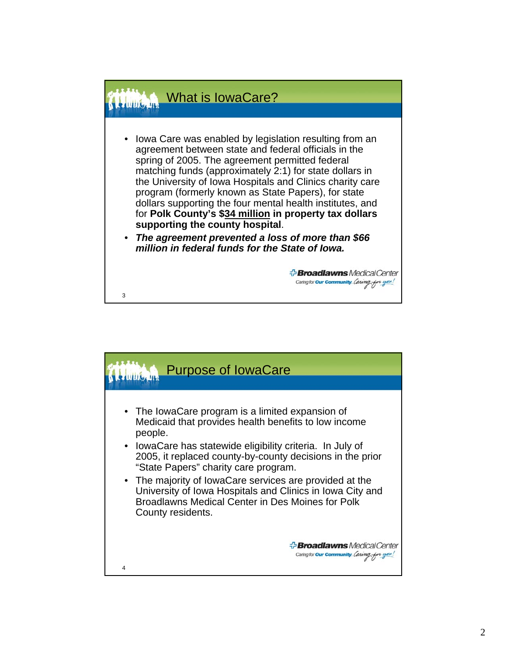

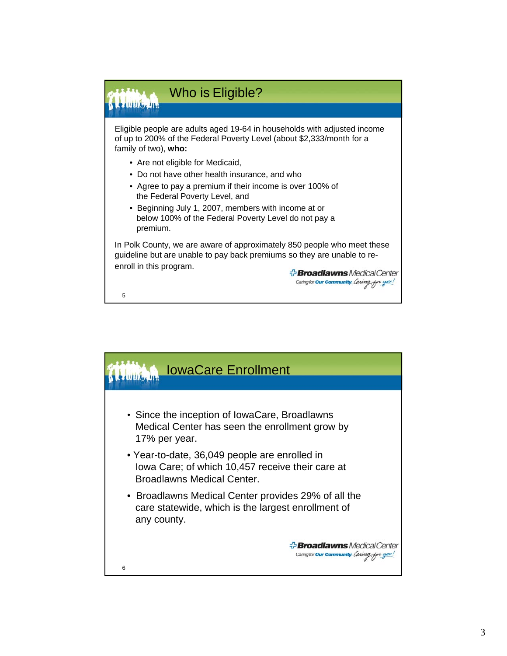

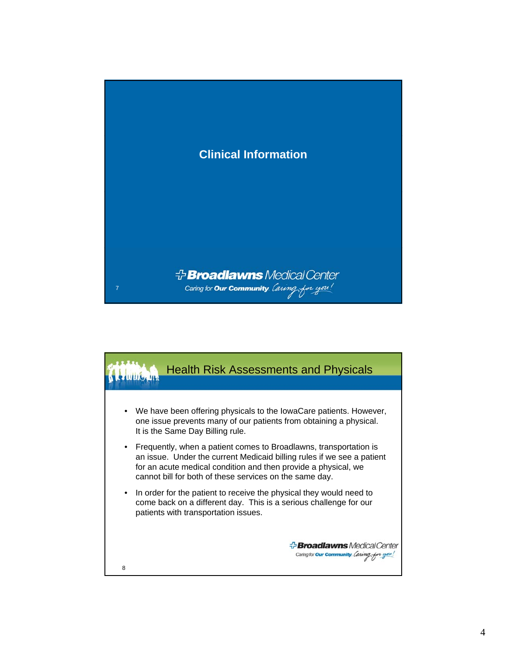

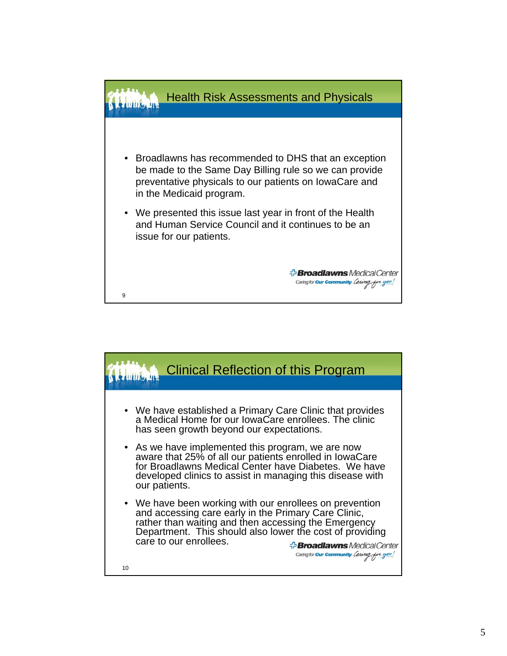

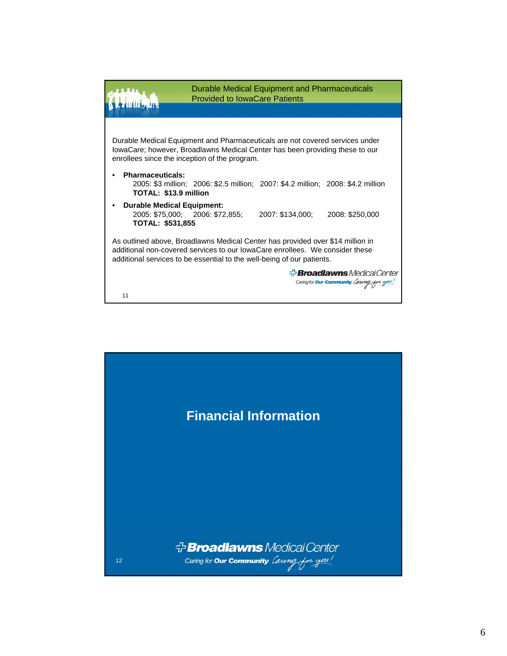

11

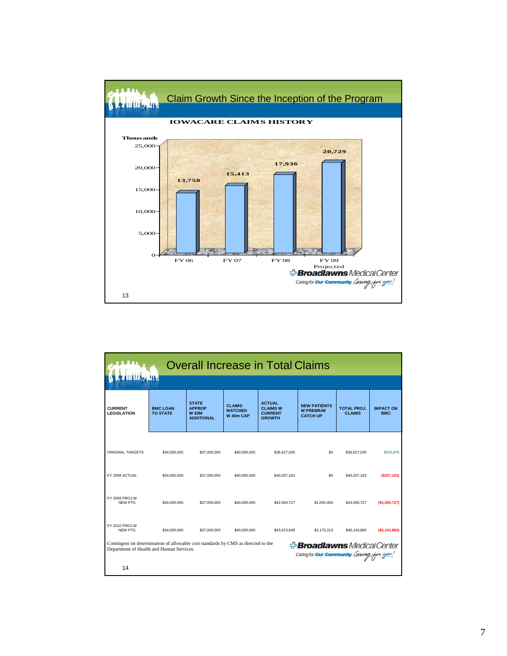

| <b>Overall Increase in Total Claims</b><br>116.41                                                                                                                                                                                  |                                    |                                                                     |                                              |                                                                     |                                                            |                                     |                                |  |  |  |  |
|------------------------------------------------------------------------------------------------------------------------------------------------------------------------------------------------------------------------------------|------------------------------------|---------------------------------------------------------------------|----------------------------------------------|---------------------------------------------------------------------|------------------------------------------------------------|-------------------------------------|--------------------------------|--|--|--|--|
| <b>CURRENT</b><br><b>LEGISLATION</b>                                                                                                                                                                                               | <b>BMC LOAN</b><br><b>TO STATE</b> | <b>STATE</b><br><b>APPROP</b><br><b>W \$3M</b><br><b>ADDITIONAL</b> | <b>CLAIMS</b><br><b>MATCHED</b><br>W 40m CAP | <b>ACTUAL</b><br><b>CLAIMS W</b><br><b>CURRENT</b><br><b>GROWTH</b> | <b>NEW PATIENTS</b><br><b>W PREMIUM</b><br><b>CATCH UP</b> | <b>TOTAL PROJ.</b><br><b>CLAIMS</b> | <b>IMPACT ON</b><br><b>BMC</b> |  |  |  |  |
| ORIGINAL TARGETS                                                                                                                                                                                                                   | \$34,000,000                       | \$37,000,000                                                        | \$40,000,000                                 | \$36,627,030                                                        | \$0                                                        | \$36,627,030                        | \$372,970                      |  |  |  |  |
| FY 2008 ACTUAL                                                                                                                                                                                                                     | \$34,000,000                       | \$37,000,000                                                        | \$40,000,000                                 | \$40,207.163                                                        | \$0                                                        | \$40,207,163                        | ( \$207, 163)                  |  |  |  |  |
| FY 2009 PROJ W<br>NFW PTS                                                                                                                                                                                                          | \$34,000,000                       | \$37,000,000                                                        | \$40,000,000                                 | \$42,000,727                                                        | \$1,000,000                                                | \$43,000,727                        | ( \$3,000,727)                 |  |  |  |  |
| FY 2010 PROJ W<br>NFW PTS.                                                                                                                                                                                                         | \$34,000,000                       | \$37,000,000                                                        | \$40,000,000                                 | \$43,973,648                                                        | \$2,170,213                                                | \$46,143,860                        | ( \$6,143,860)                 |  |  |  |  |
| Contingent on determination of allowable cost standards by CMS as directed to the<br><b>Broadlawns</b> Medical Center<br>Department of Health and Human Services.<br>Caring for <b>Our Community</b> . <i>Lawng</i> for you!<br>14 |                                    |                                                                     |                                              |                                                                     |                                                            |                                     |                                |  |  |  |  |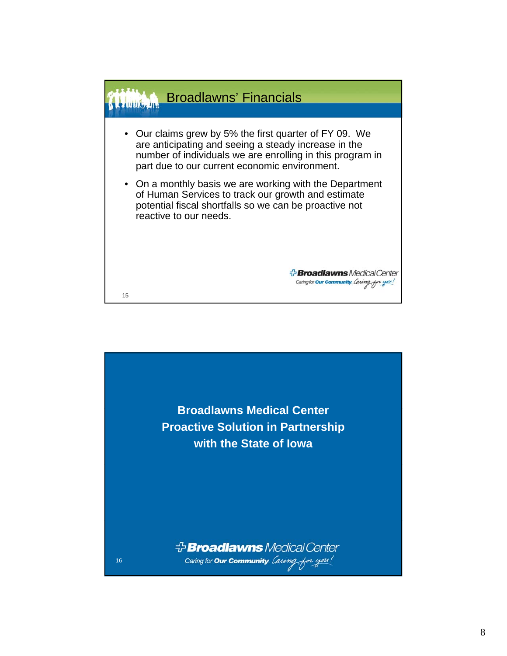

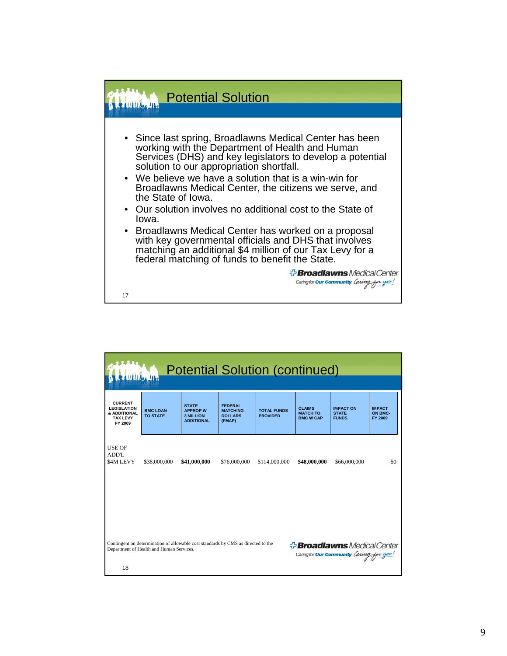

| <b>Potential Solution (continued)</b><br><b>WILLIE MAN</b>                                                                                                                                                                   |                                    |                                                                          |                                                               |                                       |                                                      |                                                  |                                     |  |  |  |  |
|------------------------------------------------------------------------------------------------------------------------------------------------------------------------------------------------------------------------------|------------------------------------|--------------------------------------------------------------------------|---------------------------------------------------------------|---------------------------------------|------------------------------------------------------|--------------------------------------------------|-------------------------------------|--|--|--|--|
| <b>CURRENT</b><br><b>LEGISLATION</b><br>& ADDITIONAL<br><b>TAX LEVY</b><br>FY 2009                                                                                                                                           | <b>BMC LOAN</b><br><b>TO STATE</b> | <b>STATE</b><br><b>APPROP W</b><br><b>3 MILLION</b><br><b>ADDITIONAL</b> | <b>FEDERAL</b><br><b>MATCHING</b><br><b>DOLLARS</b><br>(FMAP) | <b>TOTAL FUNDS</b><br><b>PROVIDED</b> | <b>CLAIMS</b><br><b>MATCH TO</b><br><b>BMC W CAP</b> | <b>IMPACT ON</b><br><b>STATE</b><br><b>FUNDS</b> | <b>IMPACT</b><br>ON BMC-<br>FY 2009 |  |  |  |  |
| <b>USE OF</b><br>ADD'L<br>\$4M LEVY                                                                                                                                                                                          | \$38,000,000                       | \$41,000,000                                                             | \$76,000,000                                                  | \$114,000,000                         | \$48,000,000                                         | \$66,000,000                                     | \$0                                 |  |  |  |  |
|                                                                                                                                                                                                                              |                                    |                                                                          |                                                               |                                       |                                                      |                                                  |                                     |  |  |  |  |
| Contingent on determination of allowable cost standards by CMS as directed to the<br><b>Broadlawns</b> Medical Center<br>Department of Health and Human Services.<br>Caring for <b>Our Community</b> . Caring for you!<br>18 |                                    |                                                                          |                                                               |                                       |                                                      |                                                  |                                     |  |  |  |  |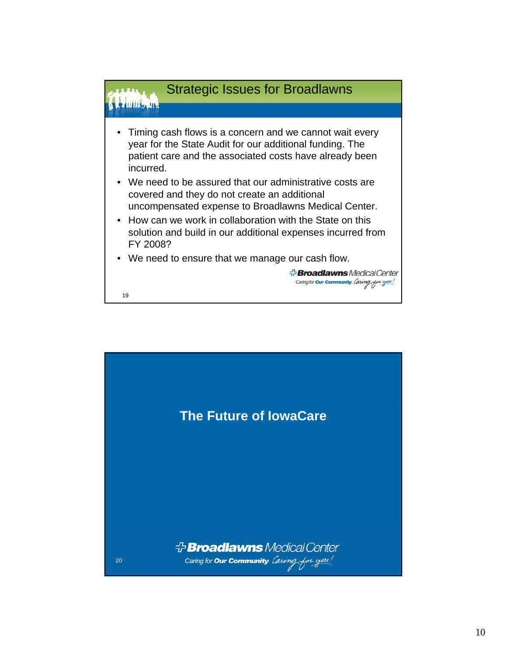

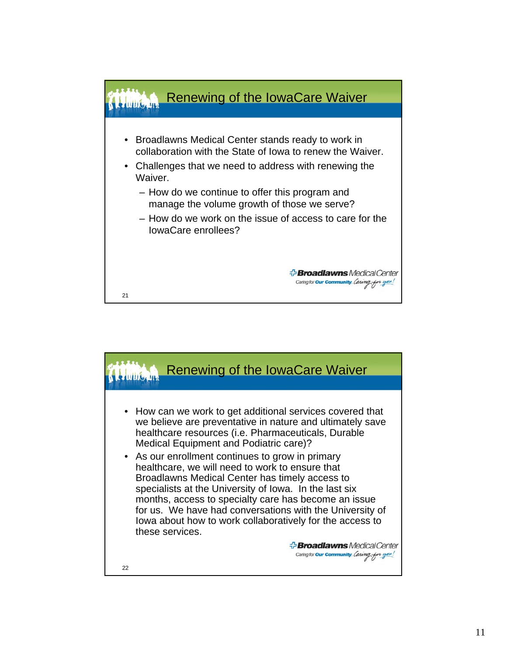